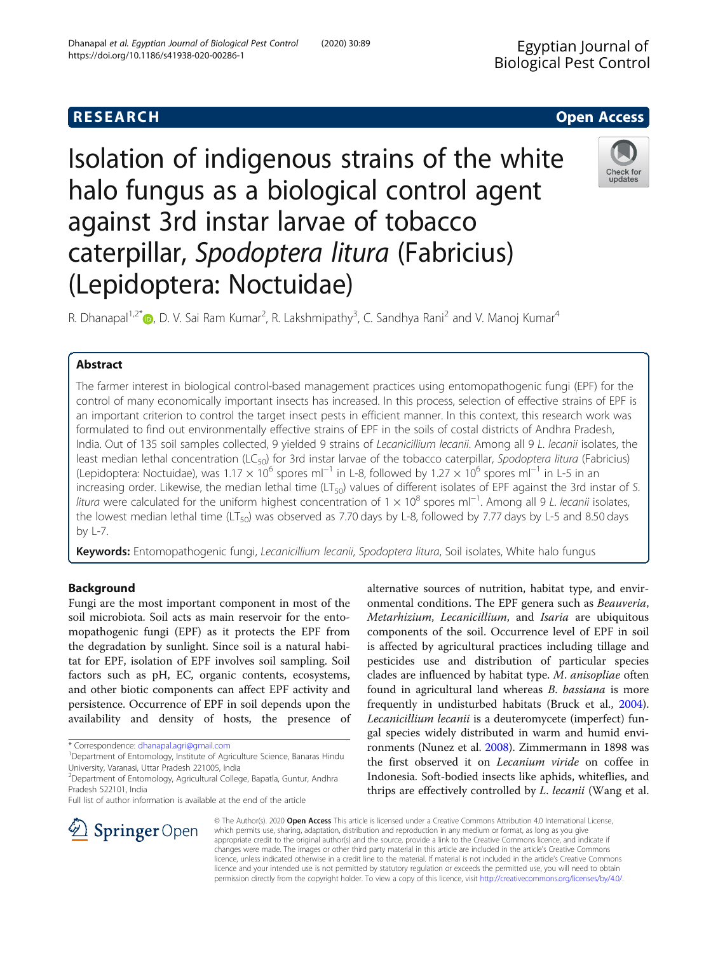# **RESEARCH CHE Open Access**

Isolation of indigenous strains of the white halo fungus as a biological control agent against 3rd instar larvae of tobacco caterpillar, Spodoptera litura (Fabricius) (Lepidoptera: Noctuidae)

R. Dhanapal<sup>1,2[\\*](http://orcid.org/0000-0003-0031-8927)</sup> (D, D. V. Sai Ram Kumar<sup>2</sup>, R. Lakshmipathy<sup>3</sup>, C. Sandhya Rani<sup>2</sup> and V. Manoj Kumar<sup>4</sup>

## Abstract

The farmer interest in biological control-based management practices using entomopathogenic fungi (EPF) for the control of many economically important insects has increased. In this process, selection of effective strains of EPF is an important criterion to control the target insect pests in efficient manner. In this context, this research work was formulated to find out environmentally effective strains of EPF in the soils of costal districts of Andhra Pradesh, India. Out of 135 soil samples collected, 9 yielded 9 strains of Lecanicillium lecanii. Among all 9 L. lecanii isolates, the least median lethal concentration (LC<sub>50</sub>) for 3rd instar larvae of the tobacco caterpillar, Spodoptera litura (Fabricius) (Lepidoptera: Noctuidae), was 1.17  $\times$  10<sup>6</sup> spores ml<sup>-1</sup> in L-8, followed by 1.27  $\times$  10<sup>6</sup> spores ml<sup>-1</sup> in L-5 in an increasing order. Likewise, the median lethal time ( $LT_{50}$ ) values of different isolates of EPF against the 3rd instar of S. litura were calculated for the uniform highest concentration of 1 × 10<sup>8</sup> spores ml<sup>−1</sup>. Among all 9 L. lecanii isolates, the lowest median lethal time (LT<sub>50</sub>) was observed as 7.70 days by L-8, followed by 7.77 days by L-5 and 8.50 days by L-7.

Keywords: Entomopathogenic fungi, Lecanicillium lecanii, Spodoptera litura, Soil isolates, White halo fungus

## Background

Fungi are the most important component in most of the soil microbiota. Soil acts as main reservoir for the entomopathogenic fungi (EPF) as it protects the EPF from the degradation by sunlight. Since soil is a natural habitat for EPF, isolation of EPF involves soil sampling. Soil factors such as pH, EC, organic contents, ecosystems, and other biotic components can affect EPF activity and persistence. Occurrence of EPF in soil depends upon the availability and density of hosts, the presence of

\* Correspondence: [dhanapal.agri@gmail.com](mailto:dhanapal.agri@gmail.com) <sup>1</sup>

SpringerOpen

<sup>1</sup>Department of Entomology, Institute of Agriculture Science, Banaras Hindu University, Varanasi, Uttar Pradesh 221005, India

<sup>2</sup>Department of Entomology, Agricultural College, Bapatla, Guntur, Andhra Pradesh 522101, India

Full list of author information is available at the end of the article

onmental conditions. The EPF genera such as Beauveria, Metarhizium, Lecanicillium, and Isaria are ubiquitous components of the soil. Occurrence level of EPF in soil is affected by agricultural practices including tillage and pesticides use and distribution of particular species clades are influenced by habitat type. M. anisopliae often found in agricultural land whereas B. bassiana is more frequently in undisturbed habitats (Bruck et al., [2004](#page-4-0)). Lecanicillium lecanii is a deuteromycete (imperfect) fungal species widely distributed in warm and humid environments (Nunez et al. [2008](#page-4-0)). Zimmermann in 1898 was the first observed it on Lecanium viride on coffee in Indonesia. Soft-bodied insects like aphids, whiteflies, and thrips are effectively controlled by L. lecanii (Wang et al.

alternative sources of nutrition, habitat type, and envir-

© The Author(s). 2020 Open Access This article is licensed under a Creative Commons Attribution 4.0 International License, which permits use, sharing, adaptation, distribution and reproduction in any medium or format, as long as you give appropriate credit to the original author(s) and the source, provide a link to the Creative Commons licence, and indicate if changes were made. The images or other third party material in this article are included in the article's Creative Commons licence, unless indicated otherwise in a credit line to the material. If material is not included in the article's Creative Commons licence and your intended use is not permitted by statutory regulation or exceeds the permitted use, you will need to obtain permission directly from the copyright holder. To view a copy of this licence, visit <http://creativecommons.org/licenses/by/4.0/>.





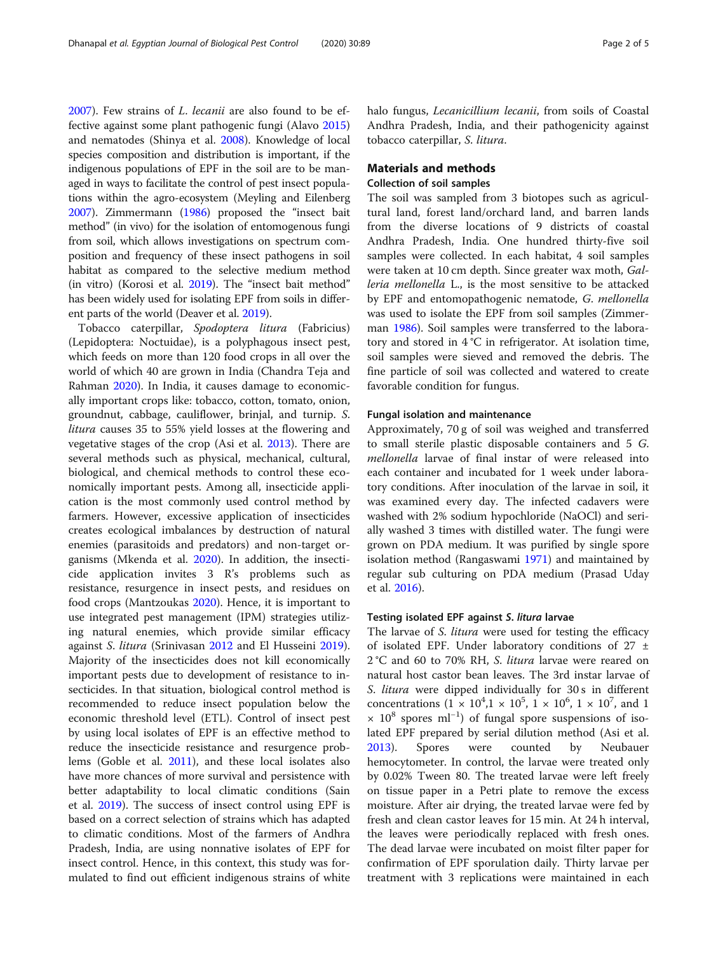[2007](#page-4-0)). Few strains of L. lecanii are also found to be effective against some plant pathogenic fungi (Alavo [2015](#page-4-0)) and nematodes (Shinya et al. [2008\)](#page-4-0). Knowledge of local species composition and distribution is important, if the indigenous populations of EPF in the soil are to be managed in ways to facilitate the control of pest insect populations within the agro-ecosystem (Meyling and Eilenberg [2007\)](#page-4-0). Zimmermann [\(1986](#page-4-0)) proposed the "insect bait method" (in vivo) for the isolation of entomogenous fungi from soil, which allows investigations on spectrum composition and frequency of these insect pathogens in soil habitat as compared to the selective medium method (in vitro) (Korosi et al. [2019\)](#page-4-0). The "insect bait method" has been widely used for isolating EPF from soils in different parts of the world (Deaver et al. [2019](#page-4-0)).

Tobacco caterpillar, Spodoptera litura (Fabricius) (Lepidoptera: Noctuidae), is a polyphagous insect pest, which feeds on more than 120 food crops in all over the world of which 40 are grown in India (Chandra Teja and Rahman [2020\)](#page-4-0). In India, it causes damage to economically important crops like: tobacco, cotton, tomato, onion, groundnut, cabbage, cauliflower, brinjal, and turnip. S. litura causes 35 to 55% yield losses at the flowering and vegetative stages of the crop (Asi et al. [2013](#page-4-0)). There are several methods such as physical, mechanical, cultural, biological, and chemical methods to control these economically important pests. Among all, insecticide application is the most commonly used control method by farmers. However, excessive application of insecticides creates ecological imbalances by destruction of natural enemies (parasitoids and predators) and non-target organisms (Mkenda et al. [2020](#page-4-0)). In addition, the insecticide application invites 3 R's problems such as resistance, resurgence in insect pests, and residues on food crops (Mantzoukas [2020\)](#page-4-0). Hence, it is important to use integrated pest management (IPM) strategies utilizing natural enemies, which provide similar efficacy against S. litura (Srinivasan [2012](#page-4-0) and El Husseini [2019](#page-4-0)). Majority of the insecticides does not kill economically important pests due to development of resistance to insecticides. In that situation, biological control method is recommended to reduce insect population below the economic threshold level (ETL). Control of insect pest by using local isolates of EPF is an effective method to reduce the insecticide resistance and resurgence problems (Goble et al. [2011\)](#page-4-0), and these local isolates also have more chances of more survival and persistence with better adaptability to local climatic conditions (Sain et al. [2019](#page-4-0)). The success of insect control using EPF is based on a correct selection of strains which has adapted to climatic conditions. Most of the farmers of Andhra Pradesh, India, are using nonnative isolates of EPF for insect control. Hence, in this context, this study was formulated to find out efficient indigenous strains of white halo fungus, Lecanicillium lecanii, from soils of Coastal Andhra Pradesh, India, and their pathogenicity against tobacco caterpillar, S. litura.

## Materials and methods

## Collection of soil samples

The soil was sampled from 3 biotopes such as agricultural land, forest land/orchard land, and barren lands from the diverse locations of 9 districts of coastal Andhra Pradesh, India. One hundred thirty-five soil samples were collected. In each habitat, 4 soil samples were taken at 10 cm depth. Since greater wax moth, Galleria mellonella L., is the most sensitive to be attacked by EPF and entomopathogenic nematode, G. mellonella was used to isolate the EPF from soil samples (Zimmerman [1986\)](#page-4-0). Soil samples were transferred to the laboratory and stored in 4 °C in refrigerator. At isolation time, soil samples were sieved and removed the debris. The fine particle of soil was collected and watered to create favorable condition for fungus.

#### Fungal isolation and maintenance

Approximately, 70 g of soil was weighed and transferred to small sterile plastic disposable containers and 5 G. mellonella larvae of final instar of were released into each container and incubated for 1 week under laboratory conditions. After inoculation of the larvae in soil, it was examined every day. The infected cadavers were washed with 2% sodium hypochloride (NaOCl) and serially washed 3 times with distilled water. The fungi were grown on PDA medium. It was purified by single spore isolation method (Rangaswami [1971\)](#page-4-0) and maintained by regular sub culturing on PDA medium (Prasad Uday et al. [2016\)](#page-4-0).

## Testing isolated EPF against S. litura larvae

The larvae of *S. litura* were used for testing the efficacy of isolated EPF. Under laboratory conditions of 27 ± 2 °C and 60 to 70% RH, S. litura larvae were reared on natural host castor bean leaves. The 3rd instar larvae of S. litura were dipped individually for 30 s in different concentrations  $(1 \times 10^4, 1 \times 10^5, 1 \times 10^6, 1 \times 10^7,$  and 1  $\times$  10<sup>8</sup> spores ml<sup>-1</sup>) of fungal spore suspensions of isolated EPF prepared by serial dilution method (Asi et al. [2013](#page-4-0)). Spores were counted by Neubauer hemocytometer. In control, the larvae were treated only by 0.02% Tween 80. The treated larvae were left freely on tissue paper in a Petri plate to remove the excess moisture. After air drying, the treated larvae were fed by fresh and clean castor leaves for 15 min. At 24 h interval, the leaves were periodically replaced with fresh ones. The dead larvae were incubated on moist filter paper for confirmation of EPF sporulation daily. Thirty larvae per treatment with 3 replications were maintained in each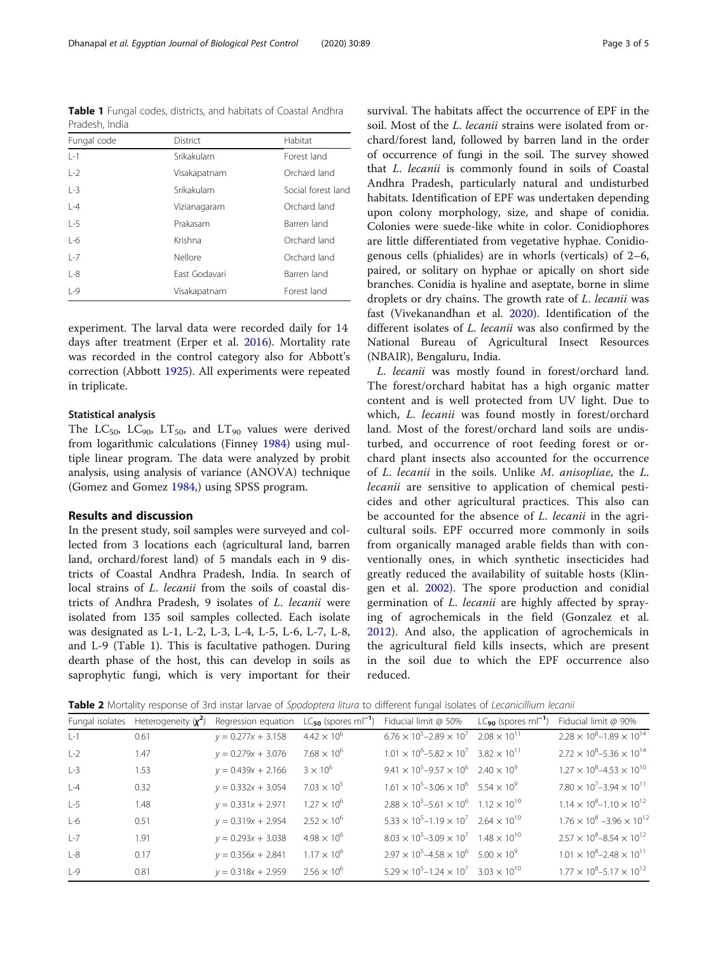<span id="page-2-0"></span>Table 1 Fungal codes, districts, and habitats of Coastal Andhra Pradesh, India

| Fungal code | District      | Habitat            |
|-------------|---------------|--------------------|
| $ -1$       | Srikakulam    | Forest land        |
| $ -2$       | Visakapatnam  | Orchard land       |
| $L-3$       | Srikakulam    | Social forest land |
| $L - 4$     | Vizianagaram  | Orchard land       |
| $L-5$       | Prakasam      | Barren land        |
| $1-6$       | Krishna       | Orchard land       |
| $1 - 7$     | Nellore       | Orchard land       |
| $L-8$       | Fast Godavari | Barren land        |
| $L-9$       | Visakapatnam  | Forest land        |

experiment. The larval data were recorded daily for 14 days after treatment (Erper et al. [2016](#page-4-0)). Mortality rate was recorded in the control category also for Abbott's correction (Abbott [1925](#page-4-0)). All experiments were repeated in triplicate.

## Statistical analysis

The  $LC_{50}$ ,  $LC_{90}$ ,  $LT_{50}$ , and  $LT_{90}$  values were derived from logarithmic calculations (Finney [1984\)](#page-4-0) using multiple linear program. The data were analyzed by probit analysis, using analysis of variance (ANOVA) technique (Gomez and Gomez [1984,](#page-4-0)) using SPSS program.

## Results and discussion

In the present study, soil samples were surveyed and collected from 3 locations each (agricultural land, barren land, orchard/forest land) of 5 mandals each in 9 districts of Coastal Andhra Pradesh, India. In search of local strains of *L. lecanii* from the soils of coastal districts of Andhra Pradesh, 9 isolates of L. lecanii were isolated from 135 soil samples collected. Each isolate was designated as L-1, L-2, L-3, L-4, L-5, L-6, L-7, L-8, and L-9 (Table 1). This is facultative pathogen. During dearth phase of the host, this can develop in soils as saprophytic fungi, which is very important for their survival. The habitats affect the occurrence of EPF in the soil. Most of the L. lecanii strains were isolated from orchard/forest land, followed by barren land in the order of occurrence of fungi in the soil. The survey showed that L. lecanii is commonly found in soils of Coastal Andhra Pradesh, particularly natural and undisturbed habitats. Identification of EPF was undertaken depending upon colony morphology, size, and shape of conidia. Colonies were suede-like white in color. Conidiophores are little differentiated from vegetative hyphae. Conidiogenous cells (phialides) are in whorls (verticals) of 2–6, paired, or solitary on hyphae or apically on short side branches. Conidia is hyaline and aseptate, borne in slime droplets or dry chains. The growth rate of *L. lecanii* was fast (Vivekanandhan et al. [2020](#page-4-0)). Identification of the different isolates of L. lecanii was also confirmed by the National Bureau of Agricultural Insect Resources (NBAIR), Bengaluru, India.

L. lecanii was mostly found in forest/orchard land. The forest/orchard habitat has a high organic matter content and is well protected from UV light. Due to which, L. lecanii was found mostly in forest/orchard land. Most of the forest/orchard land soils are undisturbed, and occurrence of root feeding forest or orchard plant insects also accounted for the occurrence of L. lecanii in the soils. Unlike M. anisopliae, the L. lecanii are sensitive to application of chemical pesticides and other agricultural practices. This also can be accounted for the absence of L. lecanii in the agricultural soils. EPF occurred more commonly in soils from organically managed arable fields than with conventionally ones, in which synthetic insecticides had greatly reduced the availability of suitable hosts (Klingen et al. [2002\)](#page-4-0). The spore production and conidial germination of L. lecanii are highly affected by spraying of agrochemicals in the field (Gonzalez et al. [2012\)](#page-4-0). And also, the application of agrochemicals in the agricultural field kills insects, which are present in the soil due to which the EPF occurrence also reduced.

Table 2 Mortality response of 3rd instar larvae of Spodoptera litura to different fungal isolates of Lecanicillium lecanii

| Fungal isolates | Heterogeneity $({\bf x}^2)$ | Regression equation $LC_{50}$ (spores ml <sup>-1</sup> ) |                      | Fiducial limit @ 50%                                            | $LC_{90}$ (spores m $^{-1}$ ) | Fiducial limit @ 90%                       |
|-----------------|-----------------------------|----------------------------------------------------------|----------------------|-----------------------------------------------------------------|-------------------------------|--------------------------------------------|
| $L-1$           | 0.61                        | $y = 0.277x + 3.158$                                     | $4.42 \times 10^{6}$ | $6.76 \times 10^5 - 2.89 \times 10^7$                           | $2.08 \times 10^{11}$         | $2.28 \times 10^8 - 1.89 \times 10^{14}$   |
| $L-2$           | 1.47                        | $y = 0.279x + 3.076$                                     | $7.68 \times 10^{6}$ | $1.01 \times 10^{6} - 5.82 \times 10^{7}$ 3.82 $\times 10^{11}$ |                               | $2.72 \times 10^8 - 5.36 \times 10^{14}$   |
| $L-3$           | 1.53                        | $y = 0.439x + 2.166$                                     | $3 \times 10^6$      | $9.41 \times 10^5 - 9.57 \times 10^6$ 2.40 $\times 10^9$        |                               | $1.27 \times 10^8 - 4.53 \times 10^{10}$   |
| $L - 4$         | 0.32                        | $y = 0.332x + 3.054$                                     | $7.03 \times 10^{5}$ | $1.61 \times 10^5 - 3.06 \times 10^6$ 5.54 $\times 10^9$        |                               | $7.80 \times 10^{7} - 3.94 \times 10^{11}$ |
| $L-5$           | 1.48                        | $y = 0.331x + 2.971$                                     | $1.27 \times 10^{6}$ | $2.88 \times 10^5 - 5.61 \times 10^6$ 1.12 $\times 10^{10}$     |                               | $1.14 \times 10^8 - 1.10 \times 10^{12}$   |
| $1 - 6$         | 0.51                        | $y = 0.319x + 2.954$                                     | $2.52 \times 10^{6}$ | $5.33 \times 10^5 - 1.19 \times 10^7$ 2.64 $\times 10^{10}$     |                               | $1.76 \times 10^8 - 3.96 \times 10^{12}$   |
| $1 - 7$         | 1.91                        | $y = 0.293x + 3.038$                                     | $4.98 \times 10^{6}$ | $8.03 \times 10^5 - 3.09 \times 10^7$ 1.48 $\times 10^{10}$     |                               | $2.57 \times 10^8 - 8.54 \times 10^{12}$   |
| $L-8$           | 0.17                        | $y = 0.356x + 2.841$                                     | $117 \times 10^{6}$  | $2.97 \times 10^5 - 4.58 \times 10^6$ 5.00 $\times 10^9$        |                               | $1.01 \times 10^8 - 2.48 \times 10^{11}$   |
| $ -9$           | 0.81                        | $y = 0.318x + 2.959$                                     | $2.56 \times 10^{6}$ | $5.29 \times 10^{5} - 1.24 \times 10^{7}$ 3.03 $\times 10^{10}$ |                               | $1.77 \times 10^8 - 5.17 \times 10^{12}$   |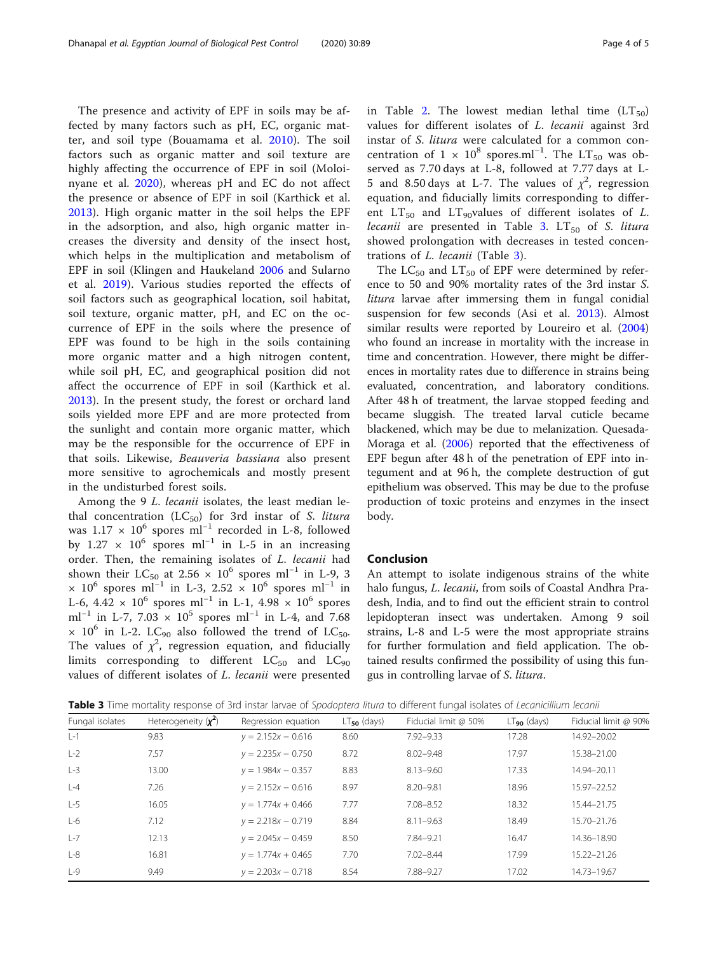The presence and activity of EPF in soils may be affected by many factors such as pH, EC, organic matter, and soil type (Bouamama et al. [2010](#page-4-0)). The soil factors such as organic matter and soil texture are highly affecting the occurrence of EPF in soil (Moloinyane et al. [2020\)](#page-4-0), whereas pH and EC do not affect the presence or absence of EPF in soil (Karthick et al. [2013\)](#page-4-0). High organic matter in the soil helps the EPF in the adsorption, and also, high organic matter increases the diversity and density of the insect host, which helps in the multiplication and metabolism of EPF in soil (Klingen and Haukeland [2006](#page-4-0) and Sularno et al. [2019\)](#page-4-0). Various studies reported the effects of soil factors such as geographical location, soil habitat, soil texture, organic matter, pH, and EC on the occurrence of EPF in the soils where the presence of EPF was found to be high in the soils containing more organic matter and a high nitrogen content, while soil pH, EC, and geographical position did not affect the occurrence of EPF in soil (Karthick et al. [2013\)](#page-4-0). In the present study, the forest or orchard land soils yielded more EPF and are more protected from the sunlight and contain more organic matter, which may be the responsible for the occurrence of EPF in that soils. Likewise, Beauveria bassiana also present more sensitive to agrochemicals and mostly present in the undisturbed forest soils.

Among the 9 L. lecanii isolates, the least median lethal concentration ( $LC_{50}$ ) for 3rd instar of S. litura was  $1.17 \times 10^6$  spores ml<sup>-1</sup> recorded in L-8, followed by 1.27  $\times$  10<sup>6</sup> spores ml<sup>-1</sup> in L-5 in an increasing order. Then, the remaining isolates of L. lecanii had shown their LC<sub>50</sub> at 2.56 × 10<sup>6</sup> spores ml<sup>-1</sup> in L-9, 3  $\times$  10<sup>6</sup> spores ml<sup>-1</sup> in L-3, 2.52  $\times$  10<sup>6</sup> spores ml<sup>-1</sup> in L-6,  $4.42 \times 10^6$  spores ml<sup>-1</sup> in L-1,  $4.98 \times 10^6$  spores ml<sup>-1</sup> in L-7, 7.03 × 10<sup>5</sup> spores ml<sup>-1</sup> in L-4, and 7.68  $\times$  10<sup>6</sup> in L-2. LC<sub>90</sub> also followed the trend of LC<sub>50</sub>. The values of  $\chi^2$ , regression equation, and fiducially limits corresponding to different  $LC_{50}$  and  $LC_{90}$ values of different isolates of L. lecanii were presented in Table [2.](#page-2-0) The lowest median lethal time  $(LT_{50})$ values for different isolates of L. lecanii against 3rd instar of S. litura were calculated for a common concentration of 1 ×  $10^8$  spores.ml<sup>-1</sup>. The LT<sub>50</sub> was observed as 7.70 days at L-8, followed at 7.77 days at L-5 and 8.50 days at L-7. The values of  $\chi^2$ , regression equation, and fiducially limits corresponding to different  $LT_{50}$  and  $LT_{90}$ values of different isolates of L. *lecanii* are presented in Table 3.  $LT_{50}$  of S. *litura* showed prolongation with decreases in tested concentrations of L. lecanii (Table 3).

The  $LC_{50}$  and  $LT_{50}$  of EPF were determined by reference to 50 and 90% mortality rates of the 3rd instar S. litura larvae after immersing them in fungal conidial suspension for few seconds (Asi et al. [2013](#page-4-0)). Almost similar results were reported by Loureiro et al. ([2004](#page-4-0)) who found an increase in mortality with the increase in time and concentration. However, there might be differences in mortality rates due to difference in strains being evaluated, concentration, and laboratory conditions. After 48 h of treatment, the larvae stopped feeding and became sluggish. The treated larval cuticle became blackened, which may be due to melanization. Quesada-Moraga et al. ([2006](#page-4-0)) reported that the effectiveness of EPF begun after 48 h of the penetration of EPF into integument and at 96 h, the complete destruction of gut epithelium was observed. This may be due to the profuse production of toxic proteins and enzymes in the insect body.

## Conclusion

An attempt to isolate indigenous strains of the white halo fungus, L. lecanii, from soils of Coastal Andhra Pradesh, India, and to find out the efficient strain to control lepidopteran insect was undertaken. Among 9 soil strains, L-8 and L-5 were the most appropriate strains for further formulation and field application. The obtained results confirmed the possibility of using this fungus in controlling larvae of S. litura.

Table 3 Time mortality response of 3rd instar larvae of Spodoptera litura to different fungal isolates of Lecanicillium lecanii

| Fungal isolates | Heterogeneity $(\chi^2)$ | Regression equation  | $LT50$ (days) | Fiducial limit @ 50% | $LT90$ (days) | Fiducial limit @ 90% |
|-----------------|--------------------------|----------------------|---------------|----------------------|---------------|----------------------|
| $L-1$           | 9.83                     | $y = 2.152x - 0.616$ | 8.60          | $7.92 - 9.33$        | 17.28         | 14.92-20.02          |
| $L-2$           | 7.57                     | $y = 2.235x - 0.750$ | 8.72          | $8.02 - 9.48$        | 17.97         | 15.38-21.00          |
| $L-3$           | 13.00                    | $y = 1.984x - 0.357$ | 8.83          | $8.13 - 9.60$        | 17.33         | 14.94-20.11          |
| $L - 4$         | 7.26                     | $y = 2.152x - 0.616$ | 8.97          | $8.20 - 9.81$        | 18.96         | 15.97-22.52          |
| $L-5$           | 16.05                    | $y = 1.774x + 0.466$ | 7.77          | 7.08-8.52            | 18.32         | 15.44-21.75          |
| $L-6$           | 7.12                     | $v = 2.218x - 0.719$ | 8.84          | $8.11 - 9.63$        | 18.49         | 15.70-21.76          |
| $L-7$           | 12.13                    | $y = 2.045x - 0.459$ | 8.50          | 7.84-9.21            | 16.47         | 14.36-18.90          |
| $L-8$           | 16.81                    | $y = 1.774x + 0.465$ | 7.70          | $7.02 - 8.44$        | 17.99         | 15.22-21.26          |
| $L-9$           | 9.49                     | $y = 2.203x - 0.718$ | 8.54          | 7.88-9.27            | 17.02         | 14.73-19.67          |